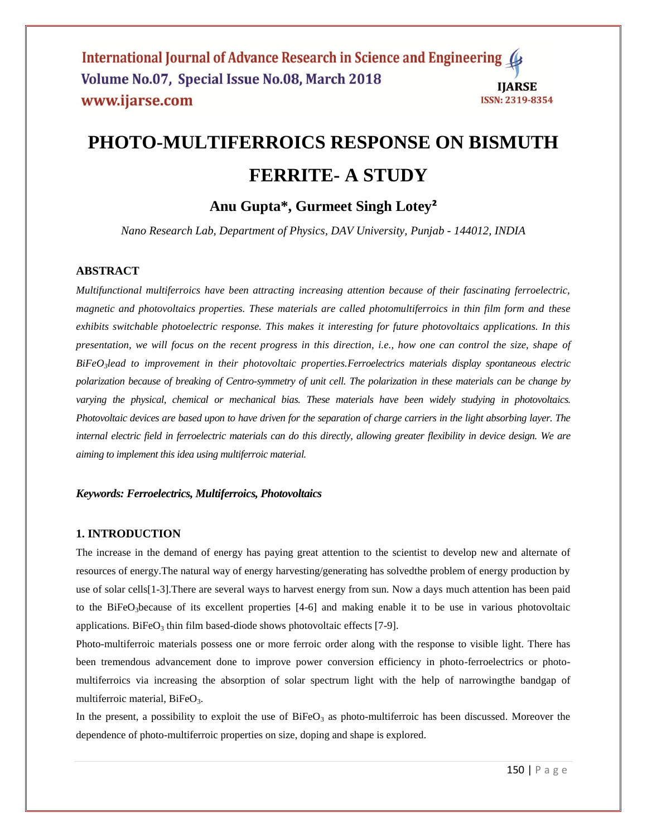# **PHOTO-MULTIFERROICS RESPONSE ON BISMUTH FERRITE- A STUDY**

## **Anu Gupta\*, Gurmeet Singh Lotey²**

*Nano Research Lab, Department of Physics, DAV University, Punjab - 144012, INDIA*

#### **ABSTRACT**

*Multifunctional multiferroics have been attracting increasing attention because of their fascinating ferroelectric, magnetic and photovoltaics properties. These materials are called photomultiferroics in thin film form and these exhibits switchable photoelectric response. This makes it interesting for future photovoltaics applications. In this presentation, we will focus on the recent progress in this direction, i.e., how one can control the size, shape of BiFeO3lead to improvement in their photovoltaic properties.Ferroelectrics materials display spontaneous electric polarization because of breaking of Centro-symmetry of unit cell. The polarization in these materials can be change by varying the physical, chemical or mechanical bias. These materials have been widely studying in photovoltaics. Photovoltaic devices are based upon to have driven for the separation of charge carriers in the light absorbing layer. The internal electric field in ferroelectric materials can do this directly, allowing greater flexibility in device design. We are aiming to implement this idea using multiferroic material.*

#### *Keywords: Ferroelectrics, Multiferroics, Photovoltaics*

#### **1. INTRODUCTION**

The increase in the demand of energy has paying great attention to the scientist to develop new and alternate of resources of energy.The natural way of energy harvesting/generating has solvedthe problem of energy production by use of solar cells[1-3].There are several ways to harvest energy from sun. Now a days much attention has been paid to the BiFeO3because of its excellent properties [4-6] and making enable it to be use in various photovoltaic applications. BiFe $O_3$  thin film based-diode shows photovoltaic effects [7-9].

Photo-multiferroic materials possess one or more ferroic order along with the response to visible light. There has been tremendous advancement done to improve power conversion efficiency in photo-ferroelectrics or photomultiferroics via increasing the absorption of solar spectrum light with the help of narrowingthe bandgap of multiferroic material, BiFeO<sub>3</sub>.

In the present, a possibility to exploit the use of  $BiFeO<sub>3</sub>$  as photo-multiferroic has been discussed. Moreover the dependence of photo-multiferroic properties on size, doping and shape is explored.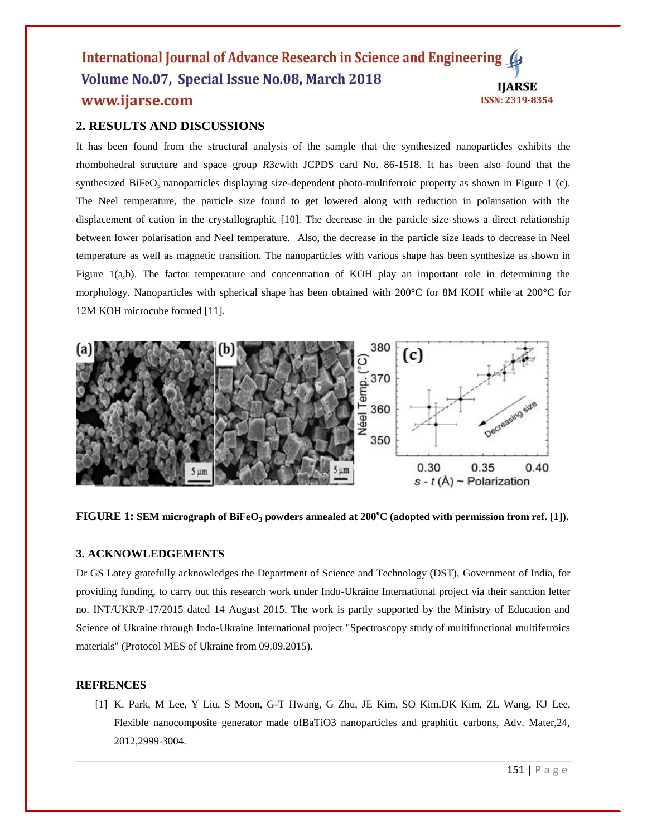#### International Journal of Advance Research in Science and Engineering Volume No.07, Special Issue No.08, March 2018 **IIARSE** www.ijarse.com ISSN: 2319-8354

### **2. RESULTS AND DISCUSSIONS**

It has been found from the structural analysis of the sample that the synthesized nanoparticles exhibits the rhombohedral structure and space group *R*3*c*with JCPDS card No. 86-1518. It has been also found that the synthesized BiFeO<sub>3</sub> nanoparticles displaying size-dependent photo-multiferroic property as shown in Figure 1 (c). The Neel temperature, the particle size found to get lowered along with reduction in polarisation with the displacement of cation in the crystallographic [10]. The decrease in the particle size shows a direct relationship between lower polarisation and Neel temperature. Also, the decrease in the particle size leads to decrease in Neel temperature as well as magnetic transition. The nanoparticles with various shape has been synthesize as shown in Figure 1(a,b). The factor temperature and concentration of KOH play an important role in determining the morphology. Nanoparticles with spherical shape has been obtained with 200°C for 8M KOH while at 200°C for 12M KOH microcube formed [11].



**FIGURE 1: SEM micrograph of BiFeO<sup>3</sup> powders annealed at 200<sup>o</sup>C (adopted with permission from ref. [1]).** 

#### **3. ACKNOWLEDGEMENTS**

Dr GS Lotey gratefully acknowledges the Department of Science and Technology (DST), Government of India, for providing funding, to carry out this research work under Indo-Ukraine International project via their sanction letter no. INT/UKR/P-17/2015 dated 14 August 2015. The work is partly supported by the Ministry of Education and Science of Ukraine through Indo-Ukraine International project "Spectroscopy study of multifunctional multiferroics materials" (Protocol MES of Ukraine from 09.09.2015).

#### **REFRENCES**

[1] K. Park, M Lee, Y Liu, S Moon, G-T Hwang, G Zhu, JE Kim, SO Kim,DK Kim, ZL Wang, KJ Lee, Flexible nanocomposite generator made ofBaTiO3 nanoparticles and graphitic carbons, Adv. Mater,24, 2012,2999-3004.